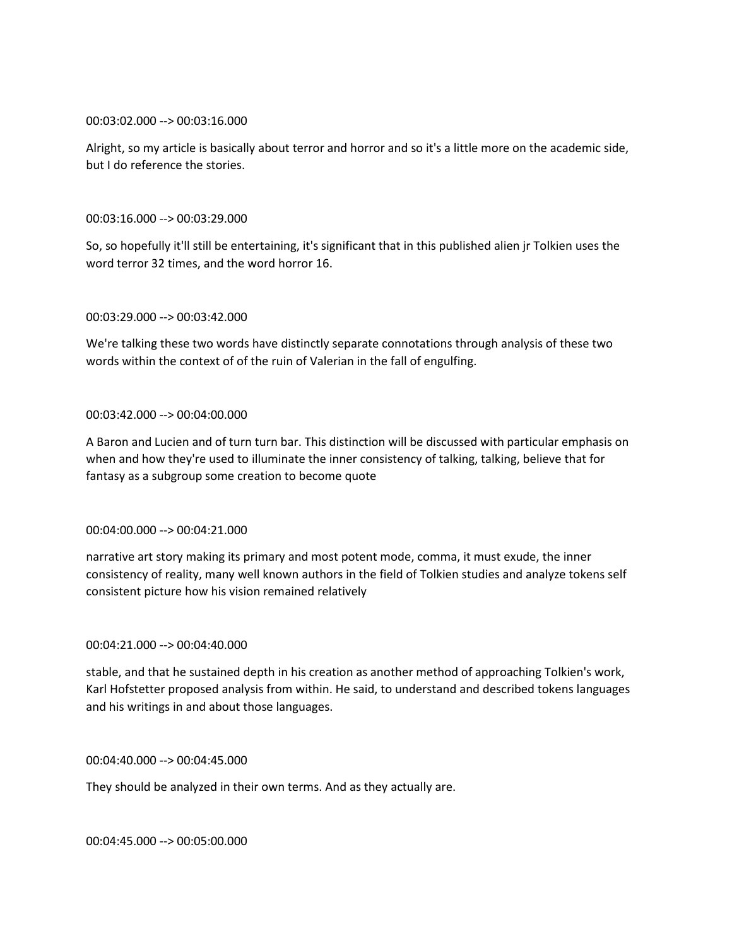## 00:03:02.000 --> 00:03:16.000

Alright, so my article is basically about terror and horror and so it's a little more on the academic side, but I do reference the stories.

## 00:03:16.000 --> 00:03:29.000

So, so hopefully it'll still be entertaining, it's significant that in this published alien jr Tolkien uses the word terror 32 times, and the word horror 16.

## 00:03:29.000 --> 00:03:42.000

We're talking these two words have distinctly separate connotations through analysis of these two words within the context of of the ruin of Valerian in the fall of engulfing.

## 00:03:42.000 --> 00:04:00.000

A Baron and Lucien and of turn turn bar. This distinction will be discussed with particular emphasis on when and how they're used to illuminate the inner consistency of talking, talking, believe that for fantasy as a subgroup some creation to become quote

#### 00:04:00.000 --> 00:04:21.000

narrative art story making its primary and most potent mode, comma, it must exude, the inner consistency of reality, many well known authors in the field of Tolkien studies and analyze tokens self consistent picture how his vision remained relatively

#### 00:04:21.000 --> 00:04:40.000

stable, and that he sustained depth in his creation as another method of approaching Tolkien's work, Karl Hofstetter proposed analysis from within. He said, to understand and described tokens languages and his writings in and about those languages.

#### 00:04:40.000 --> 00:04:45.000

They should be analyzed in their own terms. And as they actually are.

00:04:45.000 --> 00:05:00.000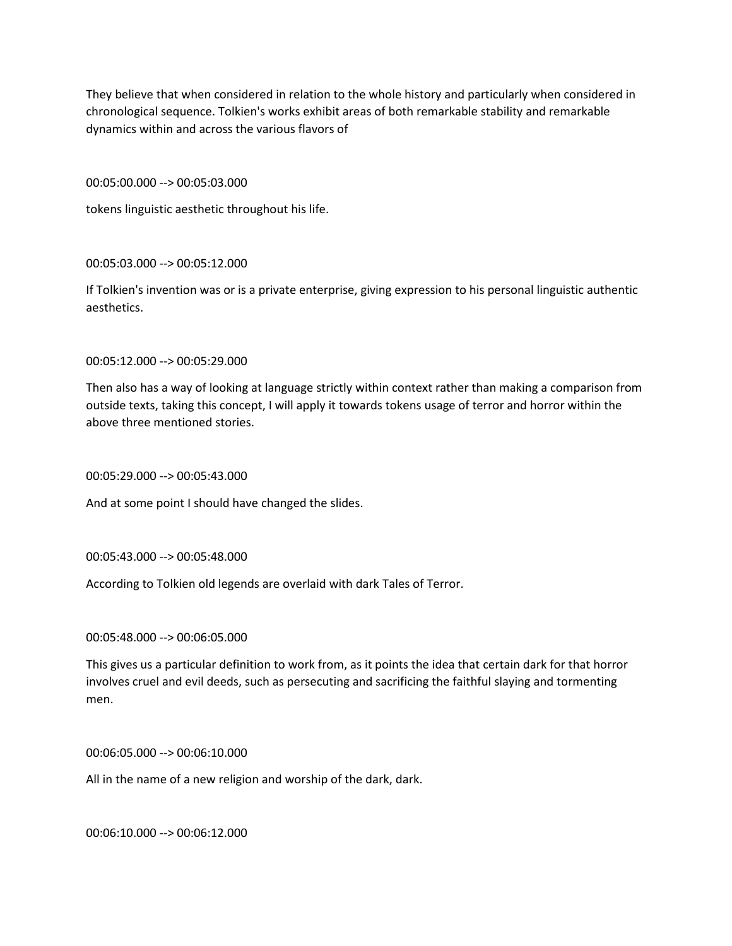They believe that when considered in relation to the whole history and particularly when considered in chronological sequence. Tolkien's works exhibit areas of both remarkable stability and remarkable dynamics within and across the various flavors of

00:05:00.000 --> 00:05:03.000

tokens linguistic aesthetic throughout his life.

00:05:03.000 --> 00:05:12.000

If Tolkien's invention was or is a private enterprise, giving expression to his personal linguistic authentic aesthetics.

00:05:12.000 --> 00:05:29.000

Then also has a way of looking at language strictly within context rather than making a comparison from outside texts, taking this concept, I will apply it towards tokens usage of terror and horror within the above three mentioned stories.

00:05:29.000 --> 00:05:43.000

And at some point I should have changed the slides.

00:05:43.000 --> 00:05:48.000

According to Tolkien old legends are overlaid with dark Tales of Terror.

00:05:48.000 --> 00:06:05.000

This gives us a particular definition to work from, as it points the idea that certain dark for that horror involves cruel and evil deeds, such as persecuting and sacrificing the faithful slaying and tormenting men.

00:06:05.000 --> 00:06:10.000

All in the name of a new religion and worship of the dark, dark.

00:06:10.000 --> 00:06:12.000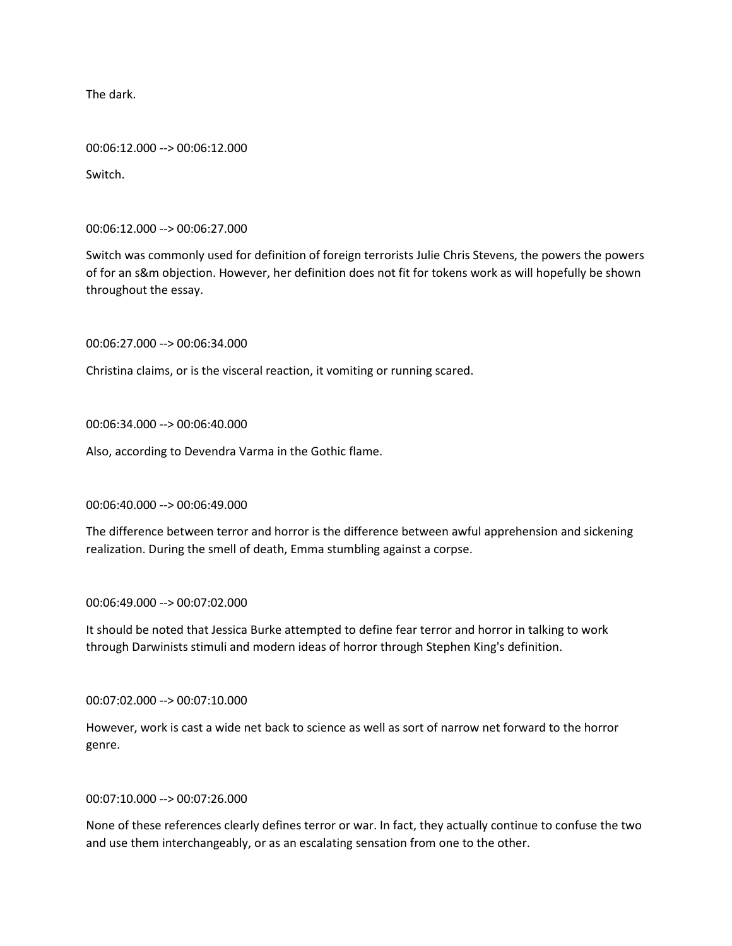The dark.

00:06:12.000 --> 00:06:12.000

Switch.

00:06:12.000 --> 00:06:27.000

Switch was commonly used for definition of foreign terrorists Julie Chris Stevens, the powers the powers of for an s&m objection. However, her definition does not fit for tokens work as will hopefully be shown throughout the essay.

00:06:27.000 --> 00:06:34.000

Christina claims, or is the visceral reaction, it vomiting or running scared.

00:06:34.000 --> 00:06:40.000

Also, according to Devendra Varma in the Gothic flame.

00:06:40.000 --> 00:06:49.000

The difference between terror and horror is the difference between awful apprehension and sickening realization. During the smell of death, Emma stumbling against a corpse.

00:06:49.000 --> 00:07:02.000

It should be noted that Jessica Burke attempted to define fear terror and horror in talking to work through Darwinists stimuli and modern ideas of horror through Stephen King's definition.

00:07:02.000 --> 00:07:10.000

However, work is cast a wide net back to science as well as sort of narrow net forward to the horror genre.

00:07:10.000 --> 00:07:26.000

None of these references clearly defines terror or war. In fact, they actually continue to confuse the two and use them interchangeably, or as an escalating sensation from one to the other.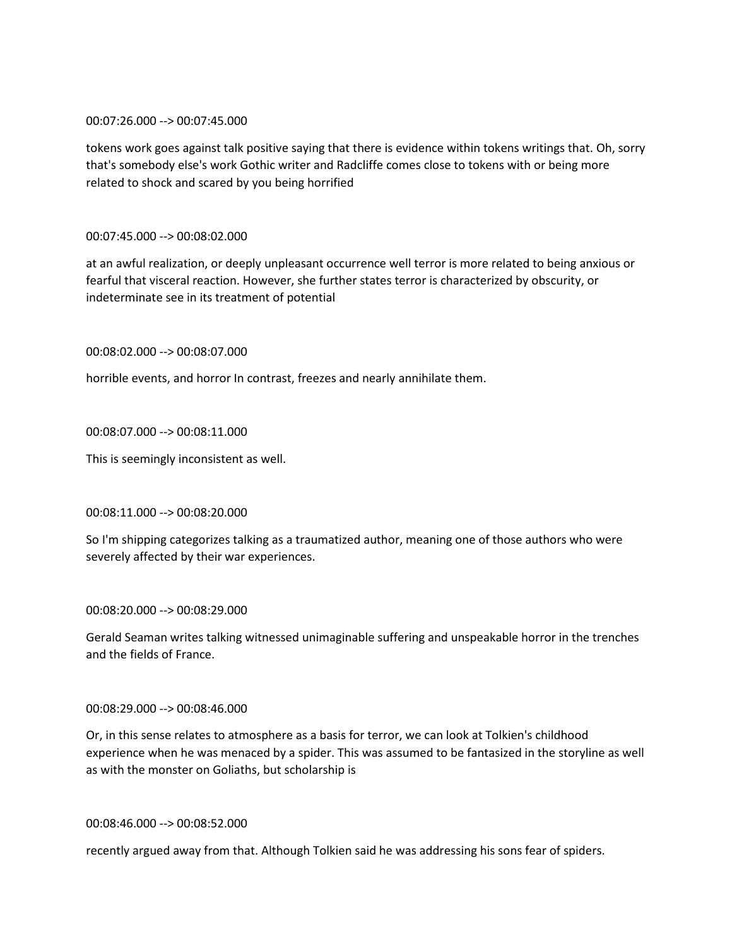### 00:07:26.000 --> 00:07:45.000

tokens work goes against talk positive saying that there is evidence within tokens writings that. Oh, sorry that's somebody else's work Gothic writer and Radcliffe comes close to tokens with or being more related to shock and scared by you being horrified

# 00:07:45.000 --> 00:08:02.000

at an awful realization, or deeply unpleasant occurrence well terror is more related to being anxious or fearful that visceral reaction. However, she further states terror is characterized by obscurity, or indeterminate see in its treatment of potential

00:08:02.000 --> 00:08:07.000

horrible events, and horror In contrast, freezes and nearly annihilate them.

00:08:07.000 --> 00:08:11.000

This is seemingly inconsistent as well.

## 00:08:11.000 --> 00:08:20.000

So I'm shipping categorizes talking as a traumatized author, meaning one of those authors who were severely affected by their war experiences.

## 00:08:20.000 --> 00:08:29.000

Gerald Seaman writes talking witnessed unimaginable suffering and unspeakable horror in the trenches and the fields of France.

#### 00:08:29.000 --> 00:08:46.000

Or, in this sense relates to atmosphere as a basis for terror, we can look at Tolkien's childhood experience when he was menaced by a spider. This was assumed to be fantasized in the storyline as well as with the monster on Goliaths, but scholarship is

### 00:08:46.000 --> 00:08:52.000

recently argued away from that. Although Tolkien said he was addressing his sons fear of spiders.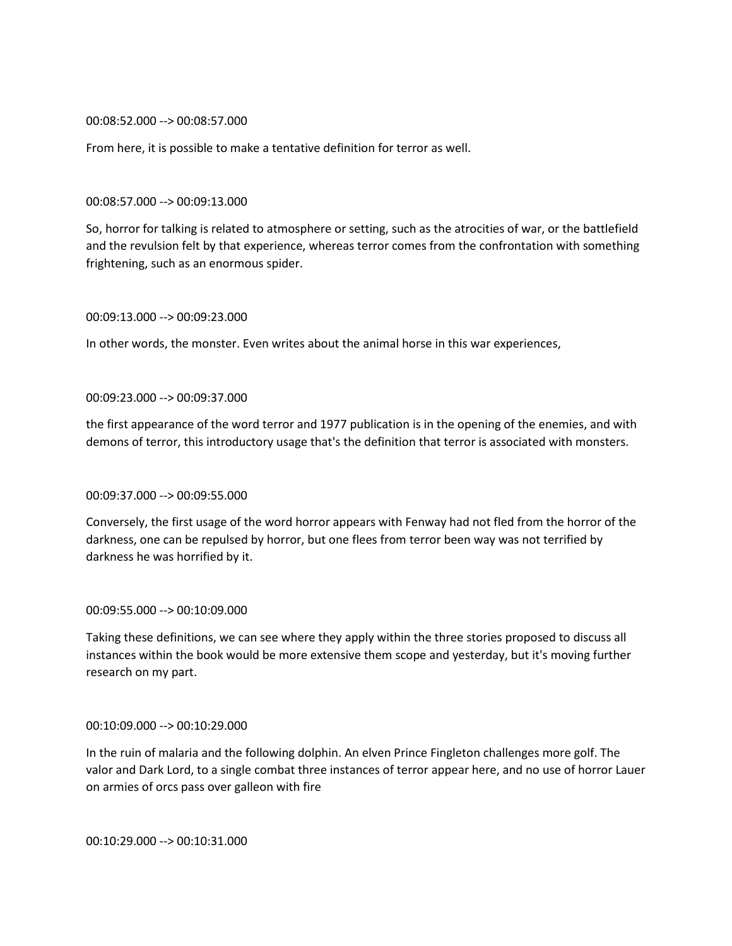00:08:52.000 --> 00:08:57.000

From here, it is possible to make a tentative definition for terror as well.

#### 00:08:57.000 --> 00:09:13.000

So, horror for talking is related to atmosphere or setting, such as the atrocities of war, or the battlefield and the revulsion felt by that experience, whereas terror comes from the confrontation with something frightening, such as an enormous spider.

#### 00:09:13.000 --> 00:09:23.000

In other words, the monster. Even writes about the animal horse in this war experiences,

#### 00:09:23.000 --> 00:09:37.000

the first appearance of the word terror and 1977 publication is in the opening of the enemies, and with demons of terror, this introductory usage that's the definition that terror is associated with monsters.

#### 00:09:37.000 --> 00:09:55.000

Conversely, the first usage of the word horror appears with Fenway had not fled from the horror of the darkness, one can be repulsed by horror, but one flees from terror been way was not terrified by darkness he was horrified by it.

## 00:09:55.000 --> 00:10:09.000

Taking these definitions, we can see where they apply within the three stories proposed to discuss all instances within the book would be more extensive them scope and yesterday, but it's moving further research on my part.

#### 00:10:09.000 --> 00:10:29.000

In the ruin of malaria and the following dolphin. An elven Prince Fingleton challenges more golf. The valor and Dark Lord, to a single combat three instances of terror appear here, and no use of horror Lauer on armies of orcs pass over galleon with fire

00:10:29.000 --> 00:10:31.000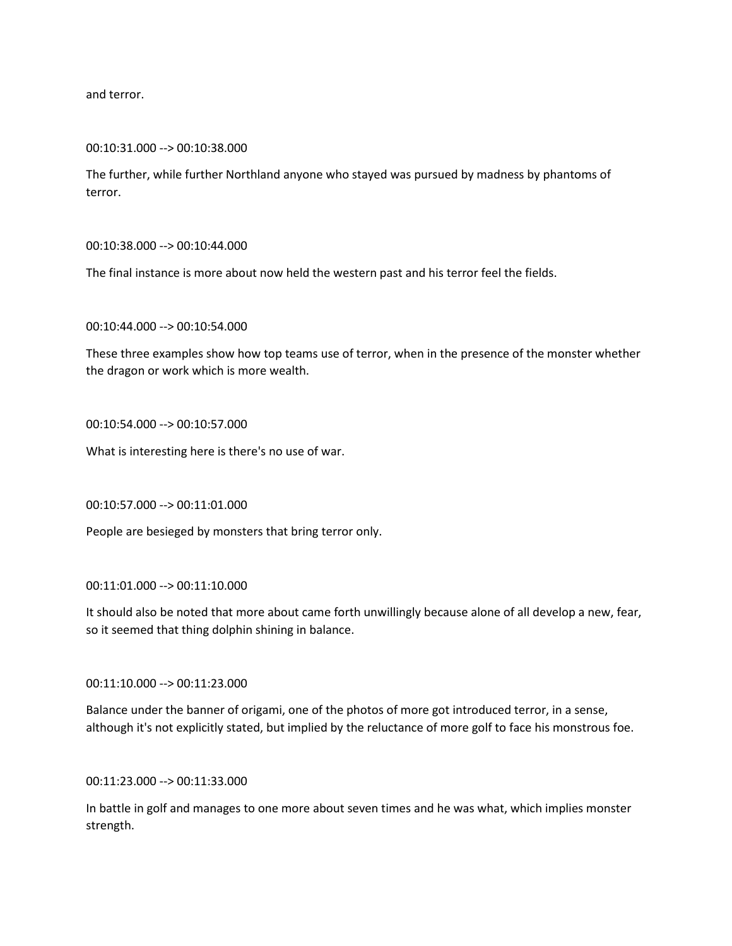and terror.

00:10:31.000 --> 00:10:38.000

The further, while further Northland anyone who stayed was pursued by madness by phantoms of terror.

00:10:38.000 --> 00:10:44.000

The final instance is more about now held the western past and his terror feel the fields.

00:10:44.000 --> 00:10:54.000

These three examples show how top teams use of terror, when in the presence of the monster whether the dragon or work which is more wealth.

00:10:54.000 --> 00:10:57.000

What is interesting here is there's no use of war.

00:10:57.000 --> 00:11:01.000

People are besieged by monsters that bring terror only.

00:11:01.000 --> 00:11:10.000

It should also be noted that more about came forth unwillingly because alone of all develop a new, fear, so it seemed that thing dolphin shining in balance.

00:11:10.000 --> 00:11:23.000

Balance under the banner of origami, one of the photos of more got introduced terror, in a sense, although it's not explicitly stated, but implied by the reluctance of more golf to face his monstrous foe.

00:11:23.000 --> 00:11:33.000

In battle in golf and manages to one more about seven times and he was what, which implies monster strength.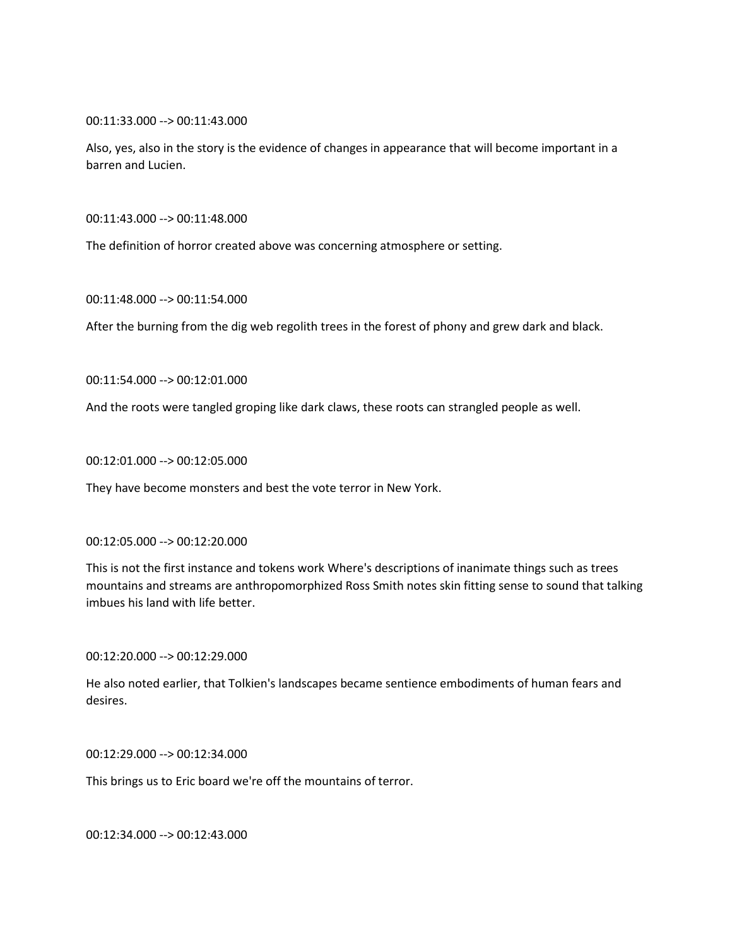00:11:33.000 --> 00:11:43.000

Also, yes, also in the story is the evidence of changes in appearance that will become important in a barren and Lucien.

00:11:43.000 --> 00:11:48.000

The definition of horror created above was concerning atmosphere or setting.

00:11:48.000 --> 00:11:54.000

After the burning from the dig web regolith trees in the forest of phony and grew dark and black.

00:11:54.000 --> 00:12:01.000

And the roots were tangled groping like dark claws, these roots can strangled people as well.

00:12:01.000 --> 00:12:05.000

They have become monsters and best the vote terror in New York.

#### 00:12:05.000 --> 00:12:20.000

This is not the first instance and tokens work Where's descriptions of inanimate things such as trees mountains and streams are anthropomorphized Ross Smith notes skin fitting sense to sound that talking imbues his land with life better.

00:12:20.000 --> 00:12:29.000

He also noted earlier, that Tolkien's landscapes became sentience embodiments of human fears and desires.

00:12:29.000 --> 00:12:34.000

This brings us to Eric board we're off the mountains of terror.

00:12:34.000 --> 00:12:43.000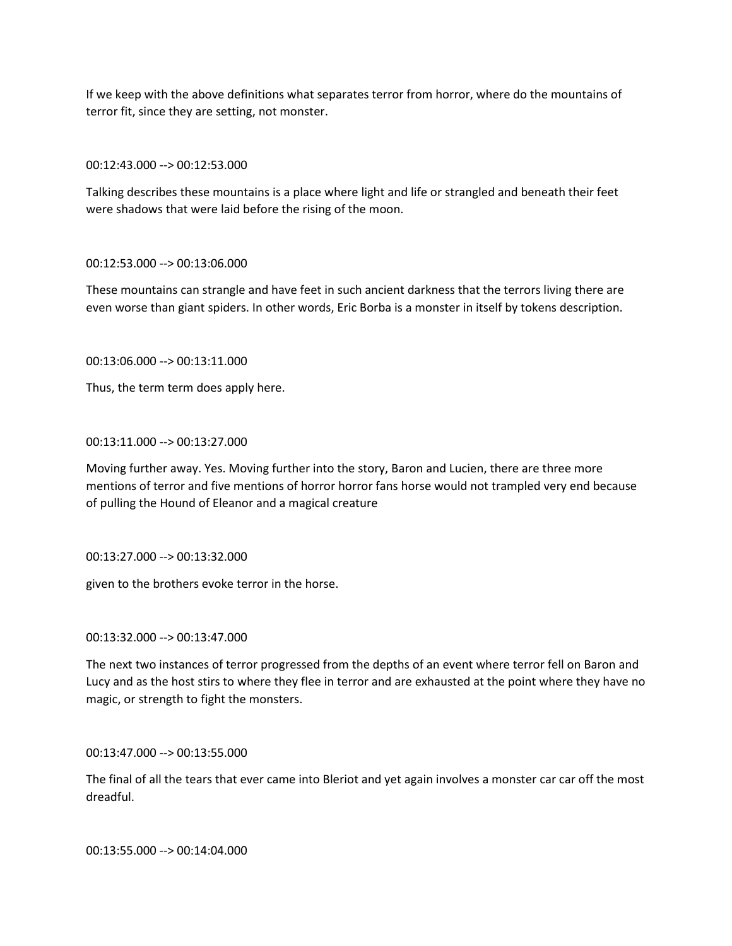If we keep with the above definitions what separates terror from horror, where do the mountains of terror fit, since they are setting, not monster.

00:12:43.000 --> 00:12:53.000

Talking describes these mountains is a place where light and life or strangled and beneath their feet were shadows that were laid before the rising of the moon.

## 00:12:53.000 --> 00:13:06.000

These mountains can strangle and have feet in such ancient darkness that the terrors living there are even worse than giant spiders. In other words, Eric Borba is a monster in itself by tokens description.

00:13:06.000 --> 00:13:11.000

Thus, the term term does apply here.

#### 00:13:11.000 --> 00:13:27.000

Moving further away. Yes. Moving further into the story, Baron and Lucien, there are three more mentions of terror and five mentions of horror horror fans horse would not trampled very end because of pulling the Hound of Eleanor and a magical creature

00:13:27.000 --> 00:13:32.000

given to the brothers evoke terror in the horse.

00:13:32.000 --> 00:13:47.000

The next two instances of terror progressed from the depths of an event where terror fell on Baron and Lucy and as the host stirs to where they flee in terror and are exhausted at the point where they have no magic, or strength to fight the monsters.

00:13:47.000 --> 00:13:55.000

The final of all the tears that ever came into Bleriot and yet again involves a monster car car off the most dreadful.

00:13:55.000 --> 00:14:04.000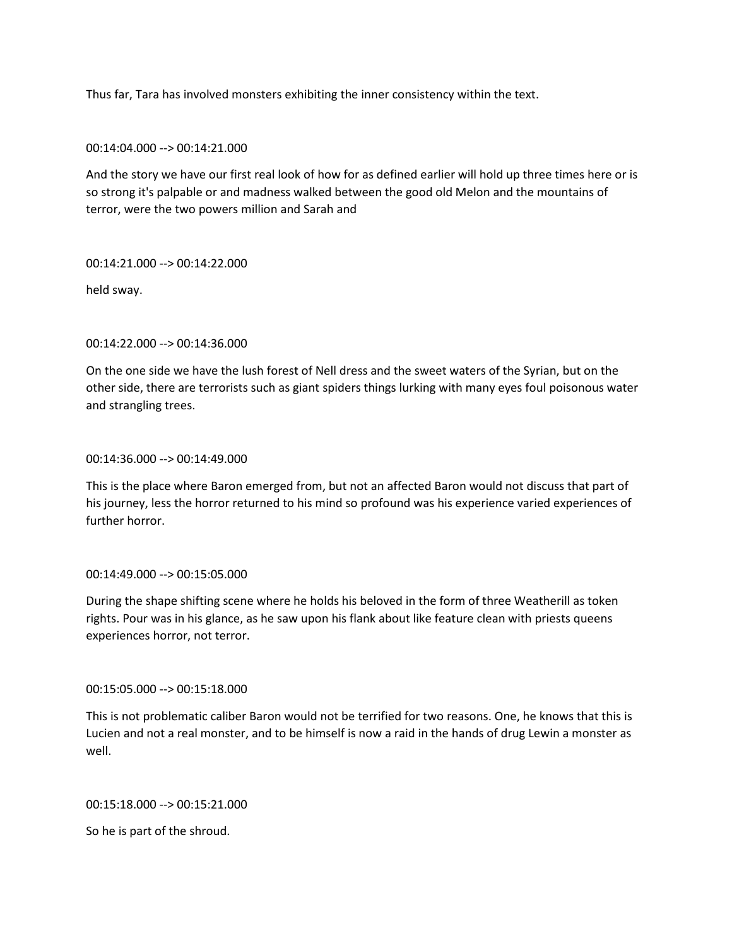Thus far, Tara has involved monsters exhibiting the inner consistency within the text.

00:14:04.000 --> 00:14:21.000

And the story we have our first real look of how for as defined earlier will hold up three times here or is so strong it's palpable or and madness walked between the good old Melon and the mountains of terror, were the two powers million and Sarah and

00:14:21.000 --> 00:14:22.000

held sway.

00:14:22.000 --> 00:14:36.000

On the one side we have the lush forest of Nell dress and the sweet waters of the Syrian, but on the other side, there are terrorists such as giant spiders things lurking with many eyes foul poisonous water and strangling trees.

00:14:36.000 --> 00:14:49.000

This is the place where Baron emerged from, but not an affected Baron would not discuss that part of his journey, less the horror returned to his mind so profound was his experience varied experiences of further horror.

00:14:49.000 --> 00:15:05.000

During the shape shifting scene where he holds his beloved in the form of three Weatherill as token rights. Pour was in his glance, as he saw upon his flank about like feature clean with priests queens experiences horror, not terror.

00:15:05.000 --> 00:15:18.000

This is not problematic caliber Baron would not be terrified for two reasons. One, he knows that this is Lucien and not a real monster, and to be himself is now a raid in the hands of drug Lewin a monster as well.

00:15:18.000 --> 00:15:21.000

So he is part of the shroud.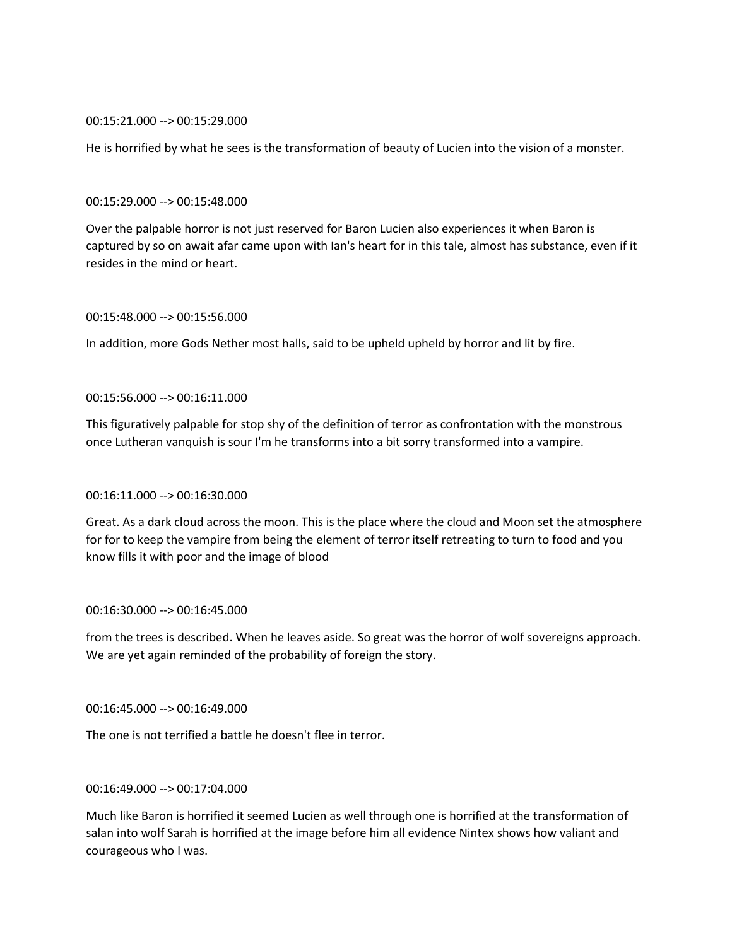### 00:15:21.000 --> 00:15:29.000

He is horrified by what he sees is the transformation of beauty of Lucien into the vision of a monster.

#### 00:15:29.000 --> 00:15:48.000

Over the palpable horror is not just reserved for Baron Lucien also experiences it when Baron is captured by so on await afar came upon with Ian's heart for in this tale, almost has substance, even if it resides in the mind or heart.

# 00:15:48.000 --> 00:15:56.000

In addition, more Gods Nether most halls, said to be upheld upheld by horror and lit by fire.

## 00:15:56.000 --> 00:16:11.000

This figuratively palpable for stop shy of the definition of terror as confrontation with the monstrous once Lutheran vanquish is sour I'm he transforms into a bit sorry transformed into a vampire.

# 00:16:11.000 --> 00:16:30.000

Great. As a dark cloud across the moon. This is the place where the cloud and Moon set the atmosphere for for to keep the vampire from being the element of terror itself retreating to turn to food and you know fills it with poor and the image of blood

## 00:16:30.000 --> 00:16:45.000

from the trees is described. When he leaves aside. So great was the horror of wolf sovereigns approach. We are yet again reminded of the probability of foreign the story.

#### 00:16:45.000 --> 00:16:49.000

The one is not terrified a battle he doesn't flee in terror.

## 00:16:49.000 --> 00:17:04.000

Much like Baron is horrified it seemed Lucien as well through one is horrified at the transformation of salan into wolf Sarah is horrified at the image before him all evidence Nintex shows how valiant and courageous who I was.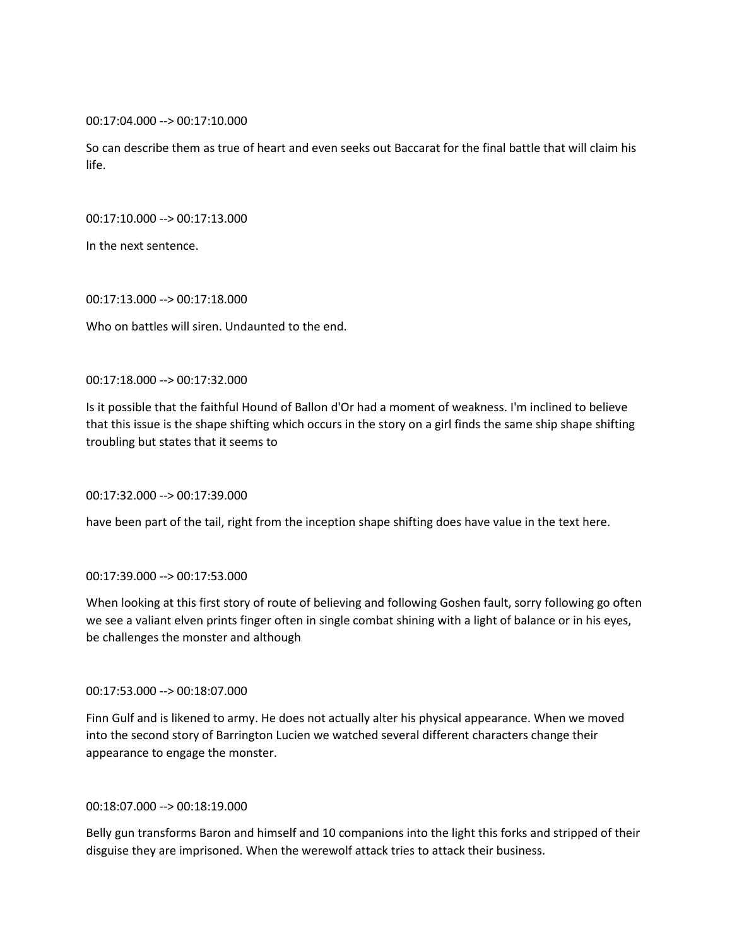00:17:04.000 --> 00:17:10.000

So can describe them as true of heart and even seeks out Baccarat for the final battle that will claim his life.

00:17:10.000 --> 00:17:13.000

In the next sentence.

00:17:13.000 --> 00:17:18.000

Who on battles will siren. Undaunted to the end.

#### 00:17:18.000 --> 00:17:32.000

Is it possible that the faithful Hound of Ballon d'Or had a moment of weakness. I'm inclined to believe that this issue is the shape shifting which occurs in the story on a girl finds the same ship shape shifting troubling but states that it seems to

00:17:32.000 --> 00:17:39.000

have been part of the tail, right from the inception shape shifting does have value in the text here.

#### 00:17:39.000 --> 00:17:53.000

When looking at this first story of route of believing and following Goshen fault, sorry following go often we see a valiant elven prints finger often in single combat shining with a light of balance or in his eyes, be challenges the monster and although

#### 00:17:53.000 --> 00:18:07.000

Finn Gulf and is likened to army. He does not actually alter his physical appearance. When we moved into the second story of Barrington Lucien we watched several different characters change their appearance to engage the monster.

## 00:18:07.000 --> 00:18:19.000

Belly gun transforms Baron and himself and 10 companions into the light this forks and stripped of their disguise they are imprisoned. When the werewolf attack tries to attack their business.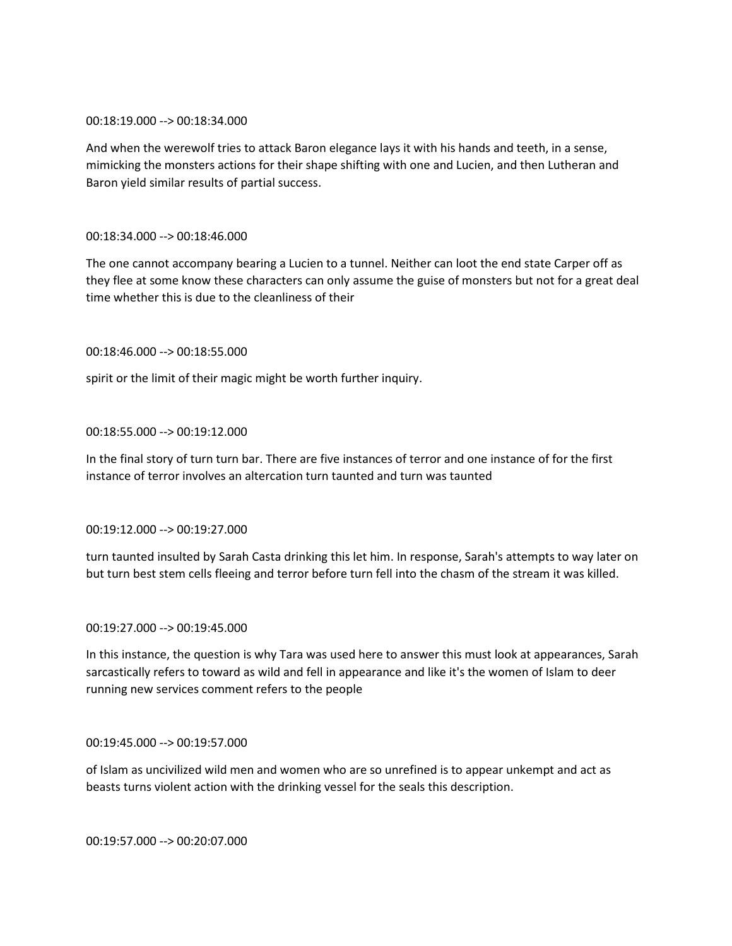### 00:18:19.000 --> 00:18:34.000

And when the werewolf tries to attack Baron elegance lays it with his hands and teeth, in a sense, mimicking the monsters actions for their shape shifting with one and Lucien, and then Lutheran and Baron yield similar results of partial success.

# 00:18:34.000 --> 00:18:46.000

The one cannot accompany bearing a Lucien to a tunnel. Neither can loot the end state Carper off as they flee at some know these characters can only assume the guise of monsters but not for a great deal time whether this is due to the cleanliness of their

## 00:18:46.000 --> 00:18:55.000

spirit or the limit of their magic might be worth further inquiry.

## 00:18:55.000 --> 00:19:12.000

In the final story of turn turn bar. There are five instances of terror and one instance of for the first instance of terror involves an altercation turn taunted and turn was taunted

#### 00:19:12.000 --> 00:19:27.000

turn taunted insulted by Sarah Casta drinking this let him. In response, Sarah's attempts to way later on but turn best stem cells fleeing and terror before turn fell into the chasm of the stream it was killed.

#### 00:19:27.000 --> 00:19:45.000

In this instance, the question is why Tara was used here to answer this must look at appearances, Sarah sarcastically refers to toward as wild and fell in appearance and like it's the women of Islam to deer running new services comment refers to the people

## 00:19:45.000 --> 00:19:57.000

of Islam as uncivilized wild men and women who are so unrefined is to appear unkempt and act as beasts turns violent action with the drinking vessel for the seals this description.

00:19:57.000 --> 00:20:07.000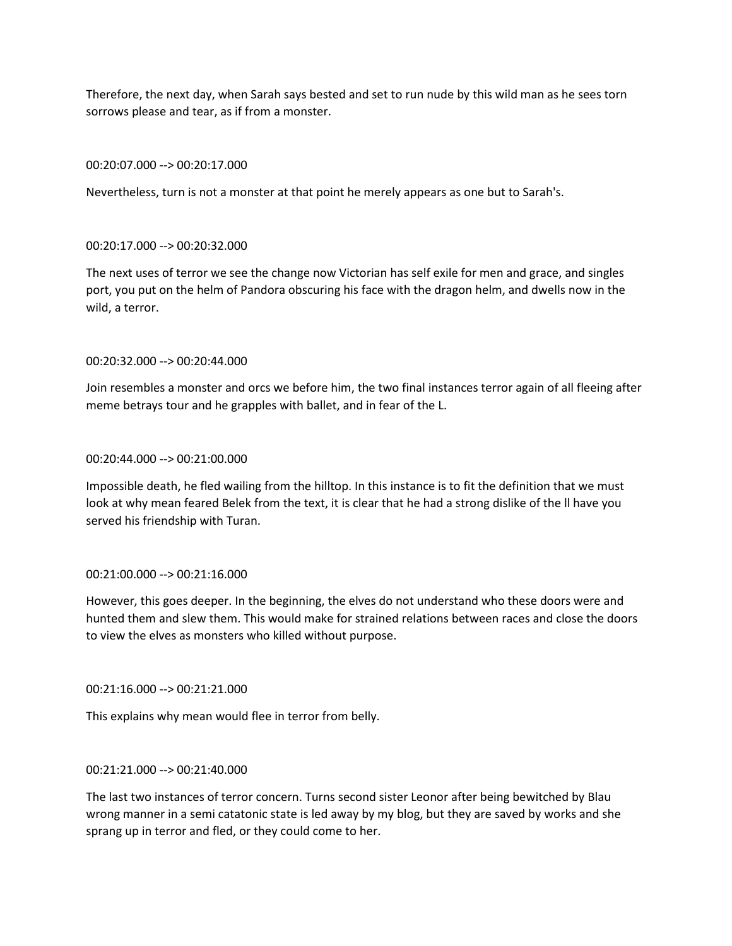Therefore, the next day, when Sarah says bested and set to run nude by this wild man as he sees torn sorrows please and tear, as if from a monster.

#### 00:20:07.000 --> 00:20:17.000

Nevertheless, turn is not a monster at that point he merely appears as one but to Sarah's.

## 00:20:17.000 --> 00:20:32.000

The next uses of terror we see the change now Victorian has self exile for men and grace, and singles port, you put on the helm of Pandora obscuring his face with the dragon helm, and dwells now in the wild, a terror.

# 00:20:32.000 --> 00:20:44.000

Join resembles a monster and orcs we before him, the two final instances terror again of all fleeing after meme betrays tour and he grapples with ballet, and in fear of the L.

#### 00:20:44.000 --> 00:21:00.000

Impossible death, he fled wailing from the hilltop. In this instance is to fit the definition that we must look at why mean feared Belek from the text, it is clear that he had a strong dislike of the ll have you served his friendship with Turan.

#### 00:21:00.000 --> 00:21:16.000

However, this goes deeper. In the beginning, the elves do not understand who these doors were and hunted them and slew them. This would make for strained relations between races and close the doors to view the elves as monsters who killed without purpose.

## 00:21:16.000 --> 00:21:21.000

This explains why mean would flee in terror from belly.

#### 00:21:21.000 --> 00:21:40.000

The last two instances of terror concern. Turns second sister Leonor after being bewitched by Blau wrong manner in a semi catatonic state is led away by my blog, but they are saved by works and she sprang up in terror and fled, or they could come to her.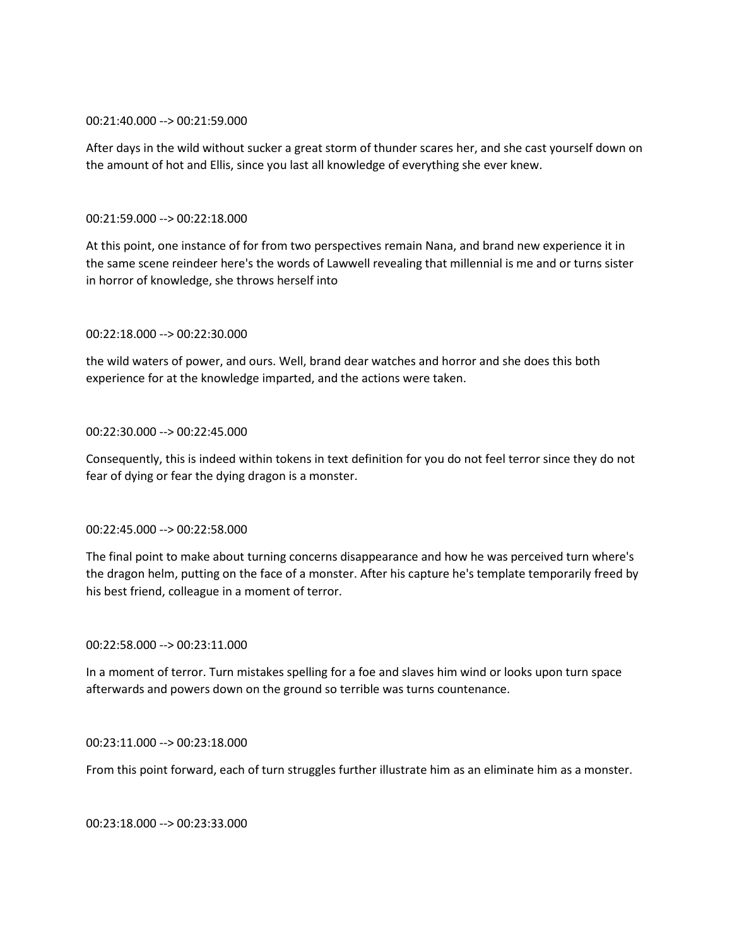### 00:21:40.000 --> 00:21:59.000

After days in the wild without sucker a great storm of thunder scares her, and she cast yourself down on the amount of hot and Ellis, since you last all knowledge of everything she ever knew.

## 00:21:59.000 --> 00:22:18.000

At this point, one instance of for from two perspectives remain Nana, and brand new experience it in the same scene reindeer here's the words of Lawwell revealing that millennial is me and or turns sister in horror of knowledge, she throws herself into

## 00:22:18.000 --> 00:22:30.000

the wild waters of power, and ours. Well, brand dear watches and horror and she does this both experience for at the knowledge imparted, and the actions were taken.

## 00:22:30.000 --> 00:22:45.000

Consequently, this is indeed within tokens in text definition for you do not feel terror since they do not fear of dying or fear the dying dragon is a monster.

#### 00:22:45.000 --> 00:22:58.000

The final point to make about turning concerns disappearance and how he was perceived turn where's the dragon helm, putting on the face of a monster. After his capture he's template temporarily freed by his best friend, colleague in a moment of terror.

#### 00:22:58.000 --> 00:23:11.000

In a moment of terror. Turn mistakes spelling for a foe and slaves him wind or looks upon turn space afterwards and powers down on the ground so terrible was turns countenance.

#### 00:23:11.000 --> 00:23:18.000

From this point forward, each of turn struggles further illustrate him as an eliminate him as a monster.

00:23:18.000 --> 00:23:33.000